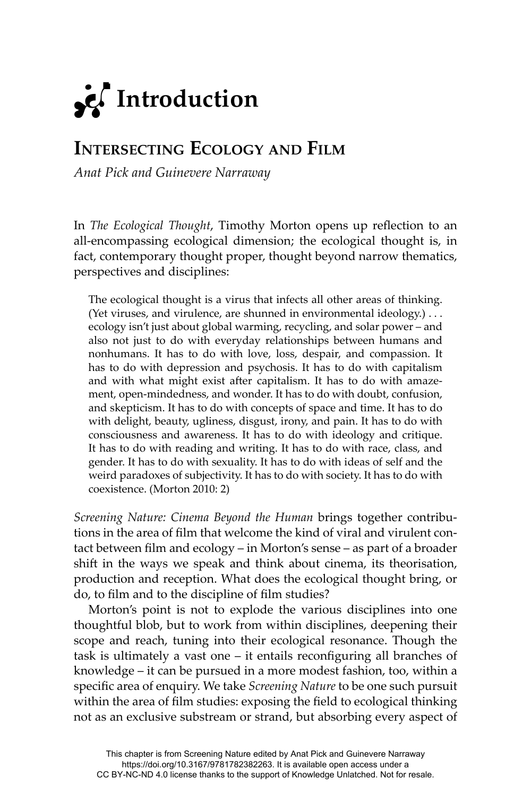

# **Intersecting Ecology and Film**

*Anat Pick and Guinevere Narraway*

In *The Ecological Thought*, Timothy Morton opens up reflection to an all-encompassing ecological dimension; the ecological thought is, in fact, contemporary thought proper, thought beyond narrow thematics, perspectives and disciplines:

The ecological thought is a virus that infects all other areas of thinking. (Yet viruses, and virulence, are shunned in environmental ideology.) . . . ecology isn't just about global warming, recycling, and solar power – and also not just to do with everyday relationships between humans and nonhumans. It has to do with love, loss, despair, and compassion. It has to do with depression and psychosis. It has to do with capitalism and with what might exist after capitalism. It has to do with amazement, open-mindedness, and wonder. It has to do with doubt, confusion, and skepticism. It has to do with concepts of space and time. It has to do with delight, beauty, ugliness, disgust, irony, and pain. It has to do with consciousness and awareness. It has to do with ideology and critique. It has to do with reading and writing. It has to do with race, class, and gender. It has to do with sexuality. It has to do with ideas of self and the weird paradoxes of subjectivity. It has to do with society. It has to do with coexistence. (Morton 2010: 2)

*Screening Nature: Cinema Beyond the Human* brings together contributions in the area of film that welcome the kind of viral and virulent contact between film and ecology – in Morton's sense – as part of a broader shift in the ways we speak and think about cinema, its theorisation, production and reception. What does the ecological thought bring, or do, to film and to the discipline of film studies?

Morton's point is not to explode the various disciplines into one thoughtful blob, but to work from within disciplines, deepening their scope and reach, tuning into their ecological resonance. Though the task is ultimately a vast one – it entails reconfiguring all branches of knowledge – it can be pursued in a more modest fashion, too, within a specific area of enquiry. We take *Screening Nature* to be one such pursuit within the area of film studies: exposing the field to ecological thinking not as an exclusive substream or strand, but absorbing every aspect of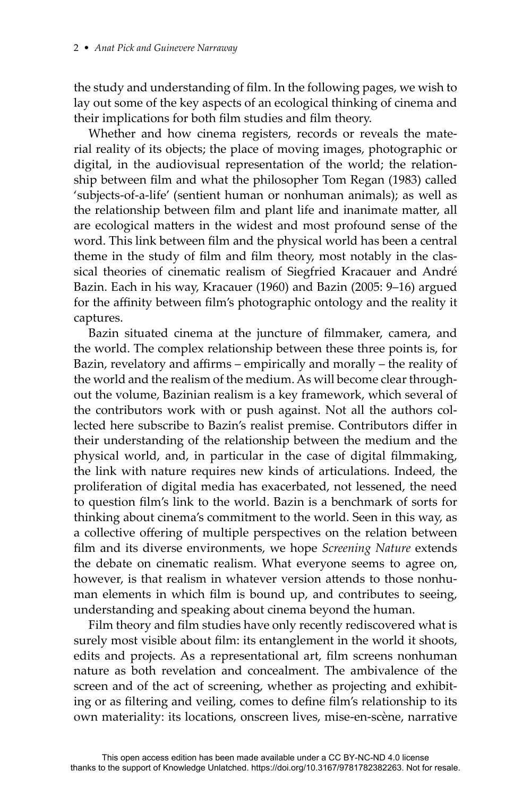the study and understanding of film. In the following pages, we wish to lay out some of the key aspects of an ecological thinking of cinema and their implications for both film studies and film theory.

Whether and how cinema registers, records or reveals the material reality of its objects; the place of moving images, photographic or digital, in the audiovisual representation of the world; the relationship between film and what the philosopher Tom Regan (1983) called 'subjects-of-a-life' (sentient human or nonhuman animals); as well as the relationship between film and plant life and inanimate matter, all are ecological matters in the widest and most profound sense of the word. This link between film and the physical world has been a central theme in the study of film and film theory, most notably in the classical theories of cinematic realism of Siegfried Kracauer and André Bazin. Each in his way, Kracauer (1960) and Bazin (2005: 9–16) argued for the affinity between film's photographic ontology and the reality it captures.

Bazin situated cinema at the juncture of filmmaker, camera, and the world. The complex relationship between these three points is, for Bazin, revelatory and affirms – empirically and morally – the reality of the world and the realism of the medium. As will become clear throughout the volume, Bazinian realism is a key framework, which several of the contributors work with or push against. Not all the authors collected here subscribe to Bazin's realist premise. Contributors differ in their understanding of the relationship between the medium and the physical world, and, in particular in the case of digital filmmaking, the link with nature requires new kinds of articulations. Indeed, the proliferation of digital media has exacerbated, not lessened, the need to question film's link to the world. Bazin is a benchmark of sorts for thinking about cinema's commitment to the world. Seen in this way, as a collective offering of multiple perspectives on the relation between film and its diverse environments, we hope *Screening Nature* extends the debate on cinematic realism. What everyone seems to agree on, however, is that realism in whatever version attends to those nonhuman elements in which film is bound up, and contributes to seeing, understanding and speaking about cinema beyond the human.

Film theory and film studies have only recently rediscovered what is surely most visible about film: its entanglement in the world it shoots, edits and projects. As a representational art, film screens nonhuman nature as both revelation and concealment. The ambivalence of the screen and of the act of screening, whether as projecting and exhibiting or as filtering and veiling, comes to define film's relationship to its own materiality: its locations, onscreen lives, mise-en-scène, narrative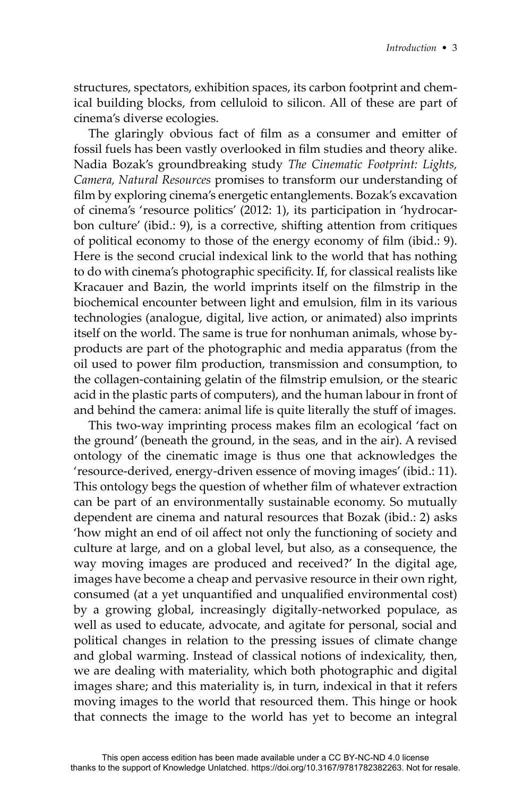structures, spectators, exhibition spaces, its carbon footprint and chemical building blocks, from celluloid to silicon. All of these are part of cinema's diverse ecologies.

The glaringly obvious fact of film as a consumer and emitter of fossil fuels has been vastly overlooked in film studies and theory alike. Nadia Bozak's groundbreaking study *The Cinematic Footprint: Lights, Camera, Natural Resources* promises to transform our understanding of film by exploring cinema's energetic entanglements. Bozak's excavation of cinema's 'resource politics' (2012: 1), its participation in 'hydrocarbon culture' (ibid.: 9), is a corrective, shifting attention from critiques of political economy to those of the energy economy of film (ibid.: 9). Here is the second crucial indexical link to the world that has nothing to do with cinema's photographic specificity. If, for classical realists like Kracauer and Bazin, the world imprints itself on the filmstrip in the biochemical encounter between light and emulsion, film in its various technologies (analogue, digital, live action, or animated) also imprints itself on the world. The same is true for nonhuman animals, whose byproducts are part of the photographic and media apparatus (from the oil used to power film production, transmission and consumption, to the collagen-containing gelatin of the filmstrip emulsion, or the stearic acid in the plastic parts of computers), and the human labour in front of and behind the camera: animal life is quite literally the stuff of images.

This two-way imprinting process makes film an ecological 'fact on the ground' (beneath the ground, in the seas, and in the air). A revised ontology of the cinematic image is thus one that acknowledges the 'resource-derived, energy-driven essence of moving images' (ibid.: 11). This ontology begs the question of whether film of whatever extraction can be part of an environmentally sustainable economy. So mutually dependent are cinema and natural resources that Bozak (ibid.: 2) asks 'how might an end of oil affect not only the functioning of society and culture at large, and on a global level, but also, as a consequence, the way moving images are produced and received?' In the digital age, images have become a cheap and pervasive resource in their own right, consumed (at a yet unquantified and unqualified environmental cost) by a growing global, increasingly digitally-networked populace, as well as used to educate, advocate, and agitate for personal, social and political changes in relation to the pressing issues of climate change and global warming. Instead of classical notions of indexicality, then, we are dealing with materiality, which both photographic and digital images share; and this materiality is, in turn, indexical in that it refers moving images to the world that resourced them. This hinge or hook that connects the image to the world has yet to become an integral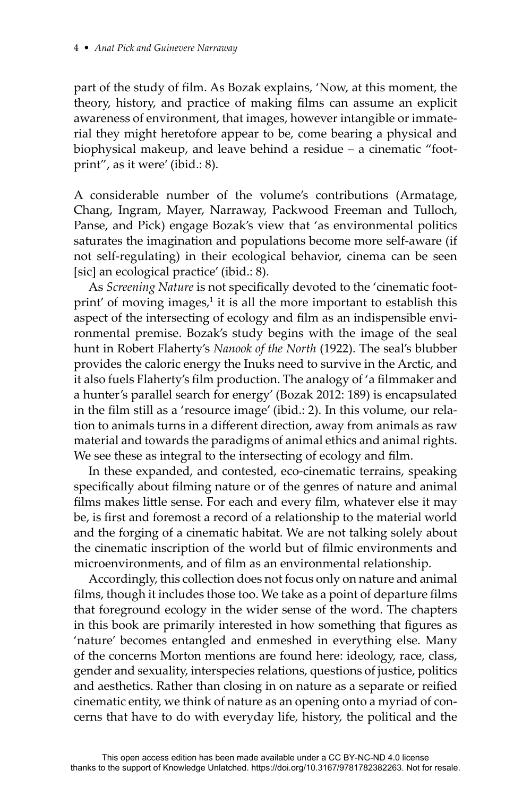part of the study of film. As Bozak explains, 'Now, at this moment, the theory, history, and practice of making films can assume an explicit awareness of environment, that images, however intangible or immaterial they might heretofore appear to be, come bearing a physical and biophysical makeup, and leave behind a residue – a cinematic "footprint", as it were' (ibid.: 8).

A considerable number of the volume's contributions (Armatage, Chang, Ingram, Mayer, Narraway, Packwood Freeman and Tulloch, Panse, and Pick) engage Bozak's view that 'as environmental politics saturates the imagination and populations become more self-aware (if not self-regulating) in their ecological behavior, cinema can be seen [sic] an ecological practice' (ibid.: 8).

As *Screening Nature* is not specifically devoted to the 'cinematic footprint' of moving images,<sup>1</sup> it is all the more important to establish this aspect of the intersecting of ecology and film as an indispensible environmental premise. Bozak's study begins with the image of the seal hunt in Robert Flaherty's *Nanook of the North* (1922). The seal's blubber provides the caloric energy the Inuks need to survive in the Arctic, and it also fuels Flaherty's film production. The analogy of 'a filmmaker and a hunter's parallel search for energy' (Bozak 2012: 189) is encapsulated in the film still as a 'resource image' (ibid.: 2). In this volume, our relation to animals turns in a different direction, away from animals as raw material and towards the paradigms of animal ethics and animal rights. We see these as integral to the intersecting of ecology and film.

In these expanded, and contested, eco-cinematic terrains, speaking specifically about filming nature or of the genres of nature and animal films makes little sense. For each and every film, whatever else it may be, is first and foremost a record of a relationship to the material world and the forging of a cinematic habitat. We are not talking solely about the cinematic inscription of the world but of filmic environments and microenvironments, and of film as an environmental relationship.

Accordingly, this collection does not focus only on nature and animal films, though it includes those too. We take as a point of departure films that foreground ecology in the wider sense of the word. The chapters in this book are primarily interested in how something that figures as 'nature' becomes entangled and enmeshed in everything else. Many of the concerns Morton mentions are found here: ideology, race, class, gender and sexuality, interspecies relations, questions of justice, politics and aesthetics. Rather than closing in on nature as a separate or reified cinematic entity, we think of nature as an opening onto a myriad of concerns that have to do with everyday life, history, the political and the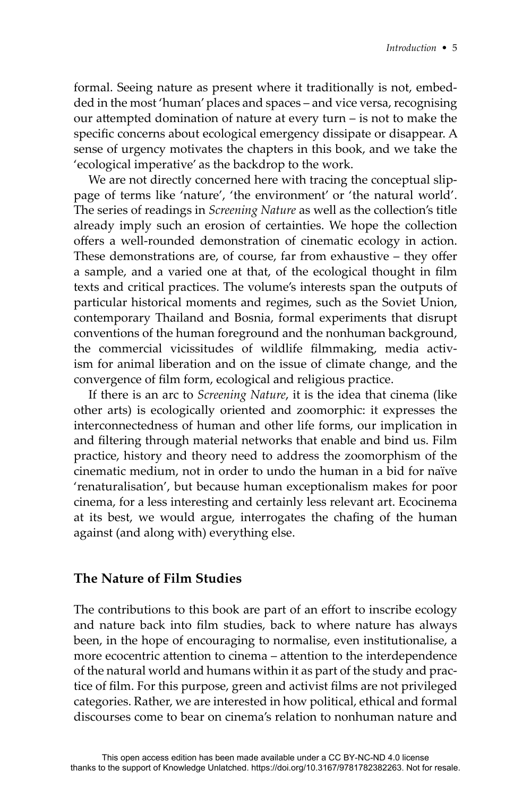formal. Seeing nature as present where it traditionally is not, embedded in the most 'human' places and spaces – and vice versa, recognising our attempted domination of nature at every turn – is not to make the specific concerns about ecological emergency dissipate or disappear. A sense of urgency motivates the chapters in this book, and we take the 'ecological imperative' as the backdrop to the work.

We are not directly concerned here with tracing the conceptual slippage of terms like 'nature', 'the environment' or 'the natural world'. The series of readings in *Screening Nature* as well as the collection's title already imply such an erosion of certainties. We hope the collection offers a well-rounded demonstration of cinematic ecology in action. These demonstrations are, of course, far from exhaustive – they offer a sample, and a varied one at that, of the ecological thought in film texts and critical practices. The volume's interests span the outputs of particular historical moments and regimes, such as the Soviet Union, contemporary Thailand and Bosnia, formal experiments that disrupt conventions of the human foreground and the nonhuman background, the commercial vicissitudes of wildlife filmmaking, media activism for animal liberation and on the issue of climate change, and the convergence of film form, ecological and religious practice.

If there is an arc to *Screening Nature*, it is the idea that cinema (like other arts) is ecologically oriented and zoomorphic: it expresses the interconnectedness of human and other life forms, our implication in and filtering through material networks that enable and bind us. Film practice, history and theory need to address the zoomorphism of the cinematic medium, not in order to undo the human in a bid for naïve 'renaturalisation', but because human exceptionalism makes for poor cinema, for a less interesting and certainly less relevant art. Ecocinema at its best, we would argue, interrogates the chafing of the human against (and along with) everything else.

## **The Nature of Film Studies**

The contributions to this book are part of an effort to inscribe ecology and nature back into film studies, back to where nature has always been, in the hope of encouraging to normalise, even institutionalise, a more ecocentric attention to cinema – attention to the interdependence of the natural world and humans within it as part of the study and practice of film. For this purpose, green and activist films are not privileged categories. Rather, we are interested in how political, ethical and formal discourses come to bear on cinema's relation to nonhuman nature and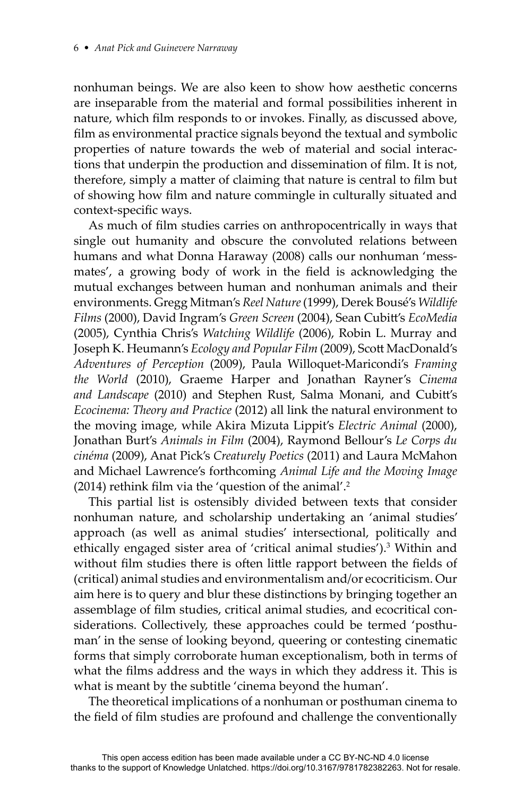nonhuman beings. We are also keen to show how aesthetic concerns are inseparable from the material and formal possibilities inherent in nature, which film responds to or invokes. Finally, as discussed above, film as environmental practice signals beyond the textual and symbolic properties of nature towards the web of material and social interactions that underpin the production and dissemination of film. It is not, therefore, simply a matter of claiming that nature is central to film but of showing how film and nature commingle in culturally situated and context-specific ways.

As much of film studies carries on anthropocentrically in ways that single out humanity and obscure the convoluted relations between humans and what Donna Haraway (2008) calls our nonhuman 'messmates', a growing body of work in the field is acknowledging the mutual exchanges between human and nonhuman animals and their environments. Gregg Mitman's *Reel Nature* (1999), Derek Bousé's *Wildlife Films* (2000), David Ingram's *Green Screen* (2004), Sean Cubitt's *EcoMedia* (2005), Cynthia Chris's *Watching Wildlife* (2006), Robin L. Murray and Joseph K. Heumann's *Ecology and Popular Film* (2009), Scott MacDonald's *Adventures of Perception* (2009), Paula Willoquet-Maricondi's *Framing the World* (2010), Graeme Harper and Jonathan Rayner's *Cinema and Landscape* (2010) and Stephen Rust, Salma Monani, and Cubitt's *Ecocinema: Theory and Practice* (2012) all link the natural environment to the moving image, while Akira Mizuta Lippit's *Electric Animal* (2000), Jonathan Burt's *Animals in Film* (2004), Raymond Bellour's *Le Corps du cinéma* (2009), Anat Pick's *Creaturely Poetics* (2011) and Laura McMahon and Michael Lawrence's forthcoming *Animal Life and the Moving Image* (2014) rethink film via the 'question of the animal'.<sup>2</sup>

This partial list is ostensibly divided between texts that consider nonhuman nature, and scholarship undertaking an 'animal studies' approach (as well as animal studies' intersectional, politically and ethically engaged sister area of 'critical animal studies').<sup>3</sup> Within and without film studies there is often little rapport between the fields of (critical) animal studies and environmentalism and/or ecocriticism. Our aim here is to query and blur these distinctions by bringing together an assemblage of film studies, critical animal studies, and ecocritical considerations. Collectively, these approaches could be termed 'posthuman' in the sense of looking beyond, queering or contesting cinematic forms that simply corroborate human exceptionalism, both in terms of what the films address and the ways in which they address it. This is what is meant by the subtitle 'cinema beyond the human'.

The theoretical implications of a nonhuman or posthuman cinema to the field of film studies are profound and challenge the conventionally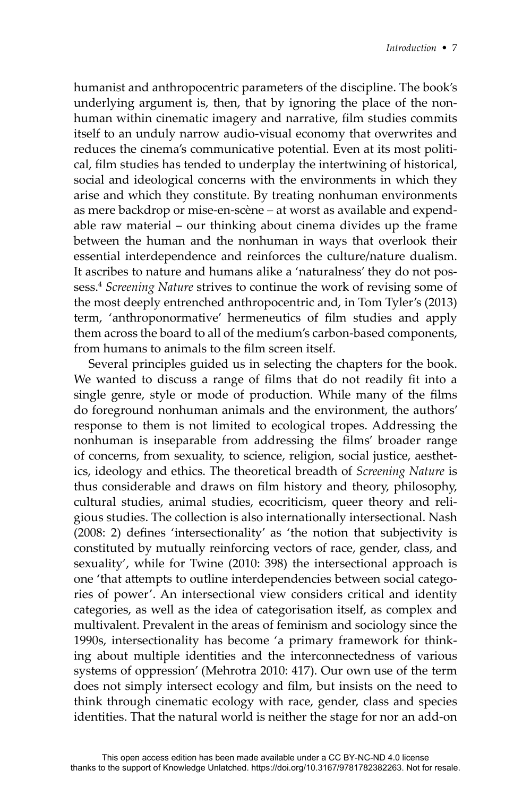humanist and anthropocentric parameters of the discipline. The book's underlying argument is, then, that by ignoring the place of the nonhuman within cinematic imagery and narrative, film studies commits itself to an unduly narrow audio-visual economy that overwrites and reduces the cinema's communicative potential. Even at its most political, film studies has tended to underplay the intertwining of historical, social and ideological concerns with the environments in which they arise and which they constitute. By treating nonhuman environments as mere backdrop or mise-en-scène – at worst as available and expendable raw material – our thinking about cinema divides up the frame between the human and the nonhuman in ways that overlook their essential interdependence and reinforces the culture/nature dualism. It ascribes to nature and humans alike a 'naturalness' they do not possess.4 *Screening Nature* strives to continue the work of revising some of the most deeply entrenched anthropocentric and, in Tom Tyler's (2013) term, 'anthroponormative' hermeneutics of film studies and apply them across the board to all of the medium's carbon-based components, from humans to animals to the film screen itself.

Several principles guided us in selecting the chapters for the book. We wanted to discuss a range of films that do not readily fit into a single genre, style or mode of production. While many of the films do foreground nonhuman animals and the environment, the authors' response to them is not limited to ecological tropes. Addressing the nonhuman is inseparable from addressing the films' broader range of concerns, from sexuality, to science, religion, social justice, aesthetics, ideology and ethics. The theoretical breadth of *Screening Nature* is thus considerable and draws on film history and theory, philosophy, cultural studies, animal studies, ecocriticism, queer theory and religious studies. The collection is also internationally intersectional. Nash (2008: 2) defines 'intersectionality' as 'the notion that subjectivity is constituted by mutually reinforcing vectors of race, gender, class, and sexuality', while for Twine (2010: 398) the intersectional approach is one 'that attempts to outline interdependencies between social categories of power'. An intersectional view considers critical and identity categories, as well as the idea of categorisation itself, as complex and multivalent. Prevalent in the areas of feminism and sociology since the 1990s, intersectionality has become 'a primary framework for thinking about multiple identities and the interconnectedness of various systems of oppression' (Mehrotra 2010: 417). Our own use of the term does not simply intersect ecology and film, but insists on the need to think through cinematic ecology with race, gender, class and species identities. That the natural world is neither the stage for nor an add-on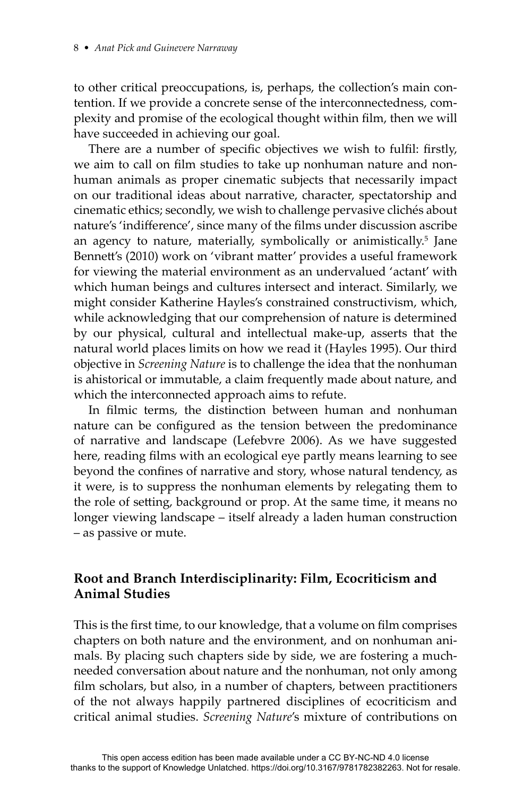to other critical preoccupations, is, perhaps, the collection's main contention. If we provide a concrete sense of the interconnectedness, complexity and promise of the ecological thought within film, then we will have succeeded in achieving our goal.

There are a number of specific objectives we wish to fulfil: firstly, we aim to call on film studies to take up nonhuman nature and nonhuman animals as proper cinematic subjects that necessarily impact on our traditional ideas about narrative, character, spectatorship and cinematic ethics; secondly, we wish to challenge pervasive clichés about nature's 'indifference', since many of the films under discussion ascribe an agency to nature, materially, symbolically or animistically.5 Jane Bennett's (2010) work on 'vibrant matter' provides a useful framework for viewing the material environment as an undervalued 'actant' with which human beings and cultures intersect and interact. Similarly, we might consider Katherine Hayles's constrained constructivism, which, while acknowledging that our comprehension of nature is determined by our physical, cultural and intellectual make-up, asserts that the natural world places limits on how we read it (Hayles 1995). Our third objective in *Screening Nature* is to challenge the idea that the nonhuman is ahistorical or immutable, a claim frequently made about nature, and which the interconnected approach aims to refute.

In filmic terms, the distinction between human and nonhuman nature can be configured as the tension between the predominance of narrative and landscape (Lefebvre 2006). As we have suggested here, reading films with an ecological eye partly means learning to see beyond the confines of narrative and story, whose natural tendency, as it were, is to suppress the nonhuman elements by relegating them to the role of setting, background or prop. At the same time, it means no longer viewing landscape – itself already a laden human construction – as passive or mute.

### **Root and Branch Interdisciplinarity: Film, Ecocriticism and Animal Studies**

This is the first time, to our knowledge, that a volume on film comprises chapters on both nature and the environment, and on nonhuman animals. By placing such chapters side by side, we are fostering a muchneeded conversation about nature and the nonhuman, not only among film scholars, but also, in a number of chapters, between practitioners of the not always happily partnered disciplines of ecocriticism and critical animal studies. *Screening Nature*'s mixture of contributions on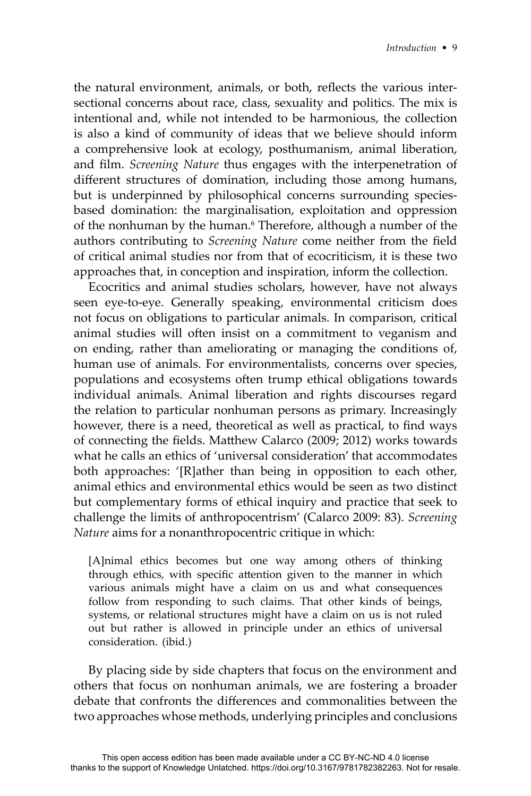the natural environment, animals, or both, reflects the various intersectional concerns about race, class, sexuality and politics. The mix is intentional and, while not intended to be harmonious, the collection is also a kind of community of ideas that we believe should inform a comprehensive look at ecology, posthumanism, animal liberation, and film. *Screening Nature* thus engages with the interpenetration of different structures of domination, including those among humans, but is underpinned by philosophical concerns surrounding speciesbased domination: the marginalisation, exploitation and oppression of the nonhuman by the human.<sup>6</sup> Therefore, although a number of the authors contributing to *Screening Nature* come neither from the field of critical animal studies nor from that of ecocriticism, it is these two approaches that, in conception and inspiration, inform the collection.

Ecocritics and animal studies scholars, however, have not always seen eye-to-eye. Generally speaking, environmental criticism does not focus on obligations to particular animals. In comparison, critical animal studies will often insist on a commitment to veganism and on ending, rather than ameliorating or managing the conditions of, human use of animals. For environmentalists, concerns over species, populations and ecosystems often trump ethical obligations towards individual animals. Animal liberation and rights discourses regard the relation to particular nonhuman persons as primary. Increasingly however, there is a need, theoretical as well as practical, to find ways of connecting the fields. Matthew Calarco (2009; 2012) works towards what he calls an ethics of 'universal consideration' that accommodates both approaches: '[R]ather than being in opposition to each other, animal ethics and environmental ethics would be seen as two distinct but complementary forms of ethical inquiry and practice that seek to challenge the limits of anthropocentrism' (Calarco 2009: 83). *Screening Nature* aims for a nonanthropocentric critique in which:

[A]nimal ethics becomes but one way among others of thinking through ethics, with specific attention given to the manner in which various animals might have a claim on us and what consequences follow from responding to such claims. That other kinds of beings, systems, or relational structures might have a claim on us is not ruled out but rather is allowed in principle under an ethics of universal consideration. (ibid.)

By placing side by side chapters that focus on the environment and others that focus on nonhuman animals, we are fostering a broader debate that confronts the differences and commonalities between the two approaches whose methods, underlying principles and conclusions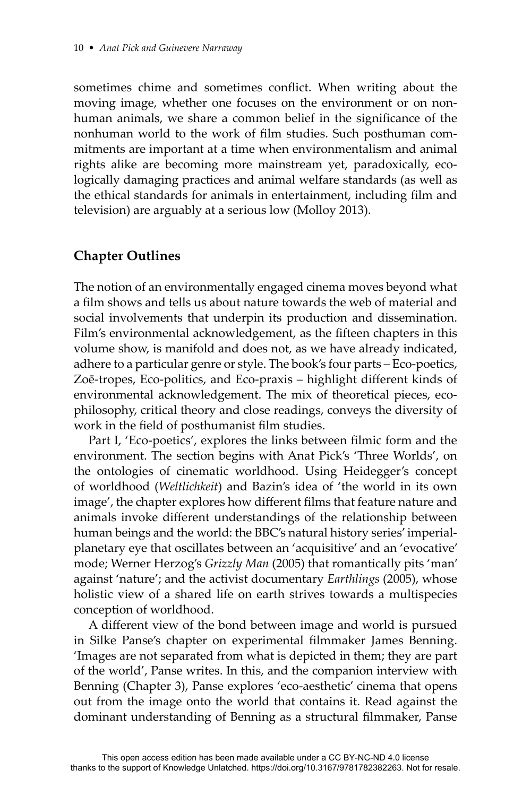sometimes chime and sometimes conflict. When writing about the moving image, whether one focuses on the environment or on nonhuman animals, we share a common belief in the significance of the nonhuman world to the work of film studies. Such posthuman commitments are important at a time when environmentalism and animal rights alike are becoming more mainstream yet, paradoxically, ecologically damaging practices and animal welfare standards (as well as the ethical standards for animals in entertainment, including film and television) are arguably at a serious low (Molloy 2013).

#### **Chapter Outlines**

The notion of an environmentally engaged cinema moves beyond what a film shows and tells us about nature towards the web of material and social involvements that underpin its production and dissemination. Film's environmental acknowledgement, as the fifteen chapters in this volume show, is manifold and does not, as we have already indicated, adhere to a particular genre or style. The book's four parts – Eco-poetics, Zoē-tropes, Eco-politics, and Eco-praxis – highlight different kinds of environmental acknowledgement. The mix of theoretical pieces, ecophilosophy, critical theory and close readings, conveys the diversity of work in the field of posthumanist film studies.

Part I, 'Eco-poetics', explores the links between filmic form and the environment. The section begins with Anat Pick's 'Three Worlds', on the ontologies of cinematic worldhood. Using Heidegger's concept of worldhood (*Weltlichkeit*) and Bazin's idea of 'the world in its own image', the chapter explores how different films that feature nature and animals invoke different understandings of the relationship between human beings and the world: the BBC's natural history series' imperialplanetary eye that oscillates between an 'acquisitive' and an 'evocative' mode; Werner Herzog's *Grizzly Man* (2005) that romantically pits 'man' against 'nature'; and the activist documentary *Earthlings* (2005), whose holistic view of a shared life on earth strives towards a multispecies conception of worldhood.

A different view of the bond between image and world is pursued in Silke Panse's chapter on experimental filmmaker James Benning. 'Images are not separated from what is depicted in them; they are part of the world', Panse writes. In this, and the companion interview with Benning (Chapter 3), Panse explores 'eco-aesthetic' cinema that opens out from the image onto the world that contains it. Read against the dominant understanding of Benning as a structural filmmaker, Panse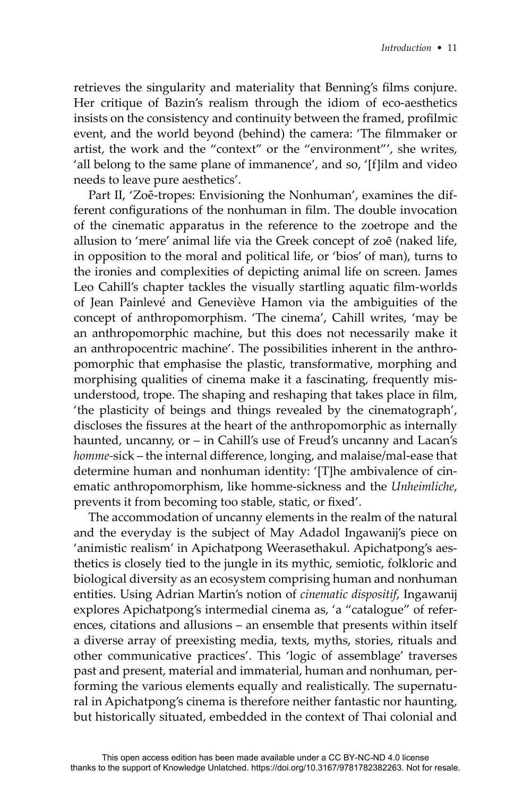retrieves the singularity and materiality that Benning's films conjure. Her critique of Bazin's realism through the idiom of eco-aesthetics insists on the consistency and continuity between the framed, profilmic event, and the world beyond (behind) the camera: 'The filmmaker or artist, the work and the "context" or the "environment"', she writes, 'all belong to the same plane of immanence', and so, '[f]ilm and video needs to leave pure aesthetics'.

Part II, 'Zoē-tropes: Envisioning the Nonhuman', examines the different configurations of the nonhuman in film. The double invocation of the cinematic apparatus in the reference to the zoetrope and the allusion to 'mere' animal life via the Greek concept of zoe (naked life, in opposition to the moral and political life, or 'bios' of man), turns to the ironies and complexities of depicting animal life on screen. James Leo Cahill's chapter tackles the visually startling aquatic film-worlds of Jean Painlevé and Geneviève Hamon via the ambiguities of the concept of anthropomorphism. 'The cinema', Cahill writes, 'may be an anthropomorphic machine, but this does not necessarily make it an anthropocentric machine'. The possibilities inherent in the anthropomorphic that emphasise the plastic, transformative, morphing and morphising qualities of cinema make it a fascinating, frequently misunderstood, trope. The shaping and reshaping that takes place in film, 'the plasticity of beings and things revealed by the cinematograph', discloses the fissures at the heart of the anthropomorphic as internally haunted, uncanny, or - in Cahill's use of Freud's uncanny and Lacan's *homme-*sick – the internal difference, longing, and malaise/mal-ease that determine human and nonhuman identity: '[T]he ambivalence of cinematic anthropomorphism, like homme-sickness and the *Unheimliche*, prevents it from becoming too stable, static, or fixed'.

The accommodation of uncanny elements in the realm of the natural and the everyday is the subject of May Adadol Ingawanij's piece on 'animistic realism' in Apichatpong Weerasethakul. Apichatpong's aesthetics is closely tied to the jungle in its mythic, semiotic, folkloric and biological diversity as an ecosystem comprising human and nonhuman entities. Using Adrian Martin's notion of *cinematic dispositif*, Ingawanij explores Apichatpong's intermedial cinema as, 'a "catalogue" of references, citations and allusions – an ensemble that presents within itself a diverse array of preexisting media, texts, myths, stories, rituals and other communicative practices'. This 'logic of assemblage' traverses past and present, material and immaterial, human and nonhuman, performing the various elements equally and realistically. The supernatural in Apichatpong's cinema is therefore neither fantastic nor haunting, but historically situated, embedded in the context of Thai colonial and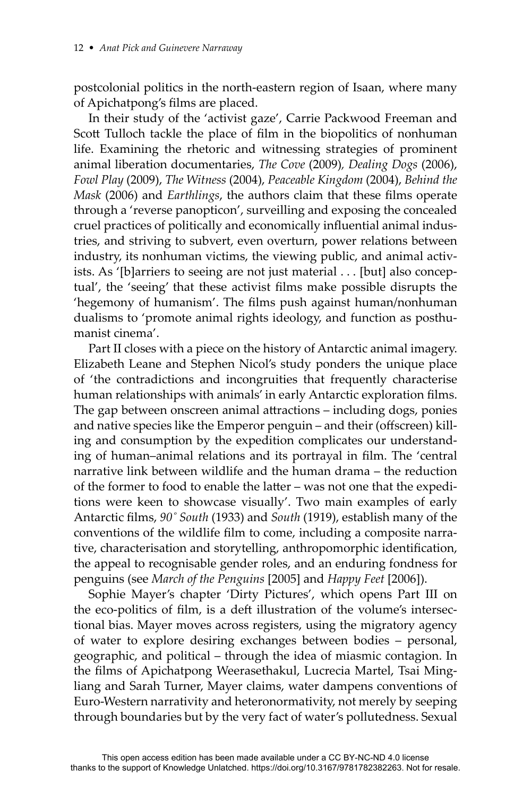postcolonial politics in the north-eastern region of Isaan, where many of Apichatpong's films are placed.

In their study of the 'activist gaze', Carrie Packwood Freeman and Scott Tulloch tackle the place of film in the biopolitics of nonhuman life. Examining the rhetoric and witnessing strategies of prominent animal liberation documentaries, *The Cove* (2009)*, Dealing Dogs* (2006), *Fowl Play* (2009), *The Witness* (2004), *Peaceable Kingdom* (2004), *Behind the Mask* (2006) and *Earthlings*, the authors claim that these films operate through a 'reverse panopticon', surveilling and exposing the concealed cruel practices of politically and economically influential animal industries, and striving to subvert, even overturn, power relations between industry, its nonhuman victims, the viewing public, and animal activists. As '[b]arriers to seeing are not just material . . . [but] also conceptual', the 'seeing' that these activist films make possible disrupts the 'hegemony of humanism'. The films push against human/nonhuman dualisms to 'promote animal rights ideology, and function as posthumanist cinema'.

Part II closes with a piece on the history of Antarctic animal imagery. Elizabeth Leane and Stephen Nicol's study ponders the unique place of 'the contradictions and incongruities that frequently characterise human relationships with animals' in early Antarctic exploration films. The gap between onscreen animal attractions – including dogs, ponies and native species like the Emperor penguin – and their (offscreen) killing and consumption by the expedition complicates our understanding of human–animal relations and its portrayal in film. The 'central narrative link between wildlife and the human drama – the reduction of the former to food to enable the latter – was not one that the expeditions were keen to showcase visually'. Two main examples of early Antarctic films, *90˚ South* (1933) and *South* (1919), establish many of the conventions of the wildlife film to come, including a composite narrative, characterisation and storytelling, anthropomorphic identification, the appeal to recognisable gender roles, and an enduring fondness for penguins (see *March of the Penguins* [2005] and *Happy Feet* [2006]).

Sophie Mayer's chapter 'Dirty Pictures', which opens Part III on the eco-politics of film, is a deft illustration of the volume's intersectional bias. Mayer moves across registers, using the migratory agency of water to explore desiring exchanges between bodies – personal, geographic, and political – through the idea of miasmic contagion. In the films of Apichatpong Weerasethakul, Lucrecia Martel, Tsai Mingliang and Sarah Turner, Mayer claims, water dampens conventions of Euro-Western narrativity and heteronormativity, not merely by seeping through boundaries but by the very fact of water's pollutedness. Sexual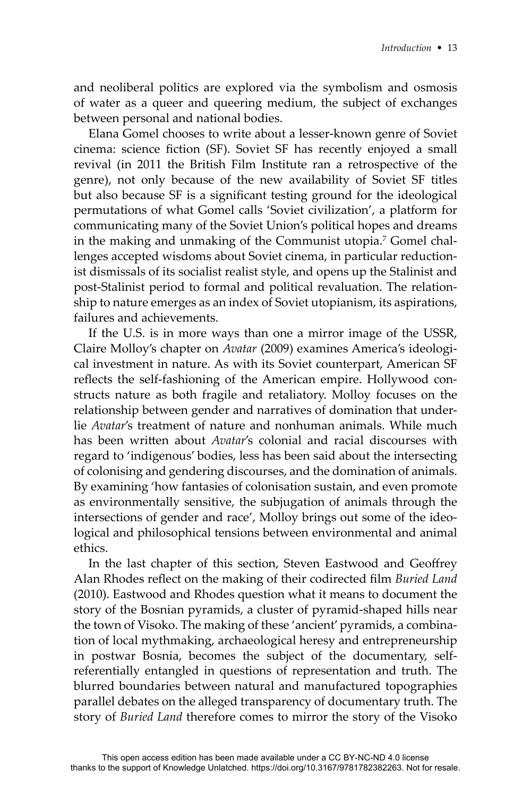and neoliberal politics are explored via the symbolism and osmosis of water as a queer and queering medium, the subject of exchanges between personal and national bodies.

Elana Gomel chooses to write about a lesser-known genre of Soviet cinema: science fiction (SF). Soviet SF has recently enjoyed a small revival (in 2011 the British Film Institute ran a retrospective of the genre), not only because of the new availability of Soviet SF titles but also because SF is a significant testing ground for the ideological permutations of what Gomel calls 'Soviet civilization', a platform for communicating many of the Soviet Union's political hopes and dreams in the making and unmaking of the Communist utopia.7 Gomel challenges accepted wisdoms about Soviet cinema, in particular reductionist dismissals of its socialist realist style, and opens up the Stalinist and post-Stalinist period to formal and political revaluation. The relationship to nature emerges as an index of Soviet utopianism, its aspirations, failures and achievements.

If the U.S. is in more ways than one a mirror image of the USSR, Claire Molloy's chapter on *Avatar* (2009) examines America's ideological investment in nature. As with its Soviet counterpart, American SF reflects the self-fashioning of the American empire. Hollywood constructs nature as both fragile and retaliatory. Molloy focuses on the relationship between gender and narratives of domination that underlie *Avatar*'s treatment of nature and nonhuman animals. While much has been written about *Avatar*'s colonial and racial discourses with regard to 'indigenous' bodies, less has been said about the intersecting of colonising and gendering discourses, and the domination of animals. By examining 'how fantasies of colonisation sustain, and even promote as environmentally sensitive, the subjugation of animals through the intersections of gender and race', Molloy brings out some of the ideological and philosophical tensions between environmental and animal ethics.

In the last chapter of this section, Steven Eastwood and Geoffrey Alan Rhodes reflect on the making of their codirected film *Buried Land* (2010). Eastwood and Rhodes question what it means to document the story of the Bosnian pyramids, a cluster of pyramid-shaped hills near the town of Visoko. The making of these 'ancient' pyramids, a combination of local mythmaking, archaeological heresy and entrepreneurship in postwar Bosnia, becomes the subject of the documentary, selfreferentially entangled in questions of representation and truth. The blurred boundaries between natural and manufactured topographies parallel debates on the alleged transparency of documentary truth. The story of *Buried Land* therefore comes to mirror the story of the Visoko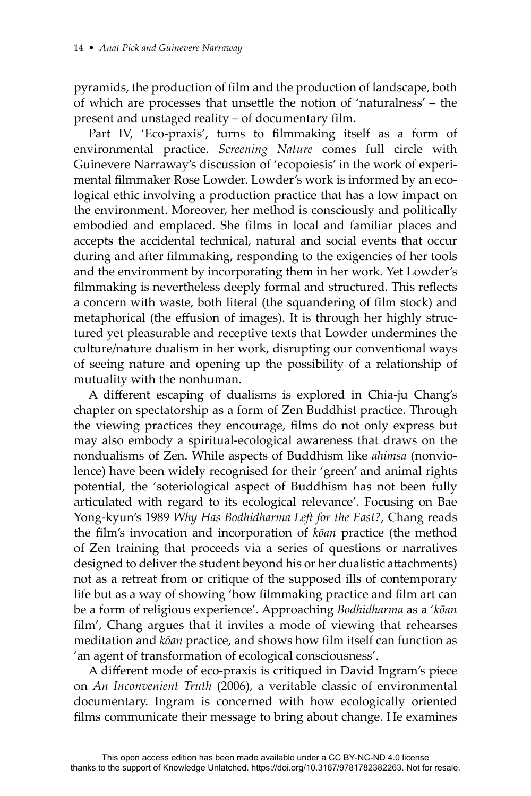pyramids, the production of film and the production of landscape, both of which are processes that unsettle the notion of 'naturalness' – the present and unstaged reality – of documentary film.

Part IV, 'Eco-praxis', turns to filmmaking itself as a form of environmental practice. *Screening Nature* comes full circle with Guinevere Narraway's discussion of 'ecopoiesis' in the work of experimental filmmaker Rose Lowder. Lowder's work is informed by an ecological ethic involving a production practice that has a low impact on the environment. Moreover, her method is consciously and politically embodied and emplaced. She films in local and familiar places and accepts the accidental technical, natural and social events that occur during and after filmmaking, responding to the exigencies of her tools and the environment by incorporating them in her work. Yet Lowder's filmmaking is nevertheless deeply formal and structured. This reflects a concern with waste, both literal (the squandering of film stock) and metaphorical (the effusion of images). It is through her highly structured yet pleasurable and receptive texts that Lowder undermines the culture/nature dualism in her work, disrupting our conventional ways of seeing nature and opening up the possibility of a relationship of mutuality with the nonhuman.

A different escaping of dualisms is explored in Chia-ju Chang's chapter on spectatorship as a form of Zen Buddhist practice. Through the viewing practices they encourage, films do not only express but may also embody a spiritual-ecological awareness that draws on the nondualisms of Zen. While aspects of Buddhism like *ahimsa* (nonviolence) have been widely recognised for their 'green' and animal rights potential, the 'soteriological aspect of Buddhism has not been fully articulated with regard to its ecological relevance'. Focusing on Bae Yong-kyun's 1989 *Why Has Bodhidharma Left for the East?*, Chang reads the film's invocation and incorporation of *kōan* practice (the method of Zen training that proceeds via a series of questions or narratives designed to deliver the student beyond his or her dualistic attachments) not as a retreat from or critique of the supposed ills of contemporary life but as a way of showing 'how filmmaking practice and film art can be a form of religious experience'. Approaching *Bodhidharma* as a '*kōan* film', Chang argues that it invites a mode of viewing that rehearses meditation and *kōan* practice, and shows how film itself can function as 'an agent of transformation of ecological consciousness'.

A different mode of eco-praxis is critiqued in David Ingram's piece on *An Inconvenient Truth* (2006), a veritable classic of environmental documentary. Ingram is concerned with how ecologically oriented films communicate their message to bring about change. He examines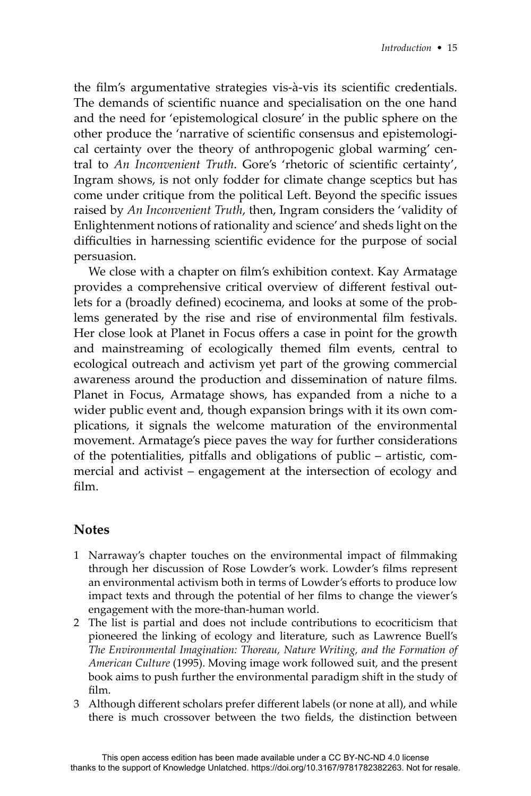the film's argumentative strategies vis-à-vis its scientific credentials. The demands of scientific nuance and specialisation on the one hand and the need for 'epistemological closure' in the public sphere on the other produce the 'narrative of scientific consensus and epistemological certainty over the theory of anthropogenic global warming' central to *An Inconvenient Truth*. Gore's 'rhetoric of scientific certainty', Ingram shows, is not only fodder for climate change sceptics but has come under critique from the political Left. Beyond the specific issues raised by *An Inconvenient Truth*, then, Ingram considers the 'validity of Enlightenment notions of rationality and science' and sheds light on the difficulties in harnessing scientific evidence for the purpose of social persuasion.

We close with a chapter on film's exhibition context. Kay Armatage provides a comprehensive critical overview of different festival outlets for a (broadly defined) ecocinema, and looks at some of the problems generated by the rise and rise of environmental film festivals. Her close look at Planet in Focus offers a case in point for the growth and mainstreaming of ecologically themed film events, central to ecological outreach and activism yet part of the growing commercial awareness around the production and dissemination of nature films. Planet in Focus, Armatage shows, has expanded from a niche to a wider public event and, though expansion brings with it its own complications, it signals the welcome maturation of the environmental movement. Armatage's piece paves the way for further considerations of the potentialities, pitfalls and obligations of public – artistic, commercial and activist – engagement at the intersection of ecology and film.

## **Notes**

- 1 Narraway's chapter touches on the environmental impact of filmmaking through her discussion of Rose Lowder's work. Lowder's films represent an environmental activism both in terms of Lowder's efforts to produce low impact texts and through the potential of her films to change the viewer's engagement with the more-than-human world.
- 2 The list is partial and does not include contributions to ecocriticism that pioneered the linking of ecology and literature, such as Lawrence Buell's *The Environmental Imagination: Thoreau, Nature Writing, and the Formation of American Culture* (1995). Moving image work followed suit, and the present book aims to push further the environmental paradigm shift in the study of film.
- 3 Although different scholars prefer different labels (or none at all), and while there is much crossover between the two fields, the distinction between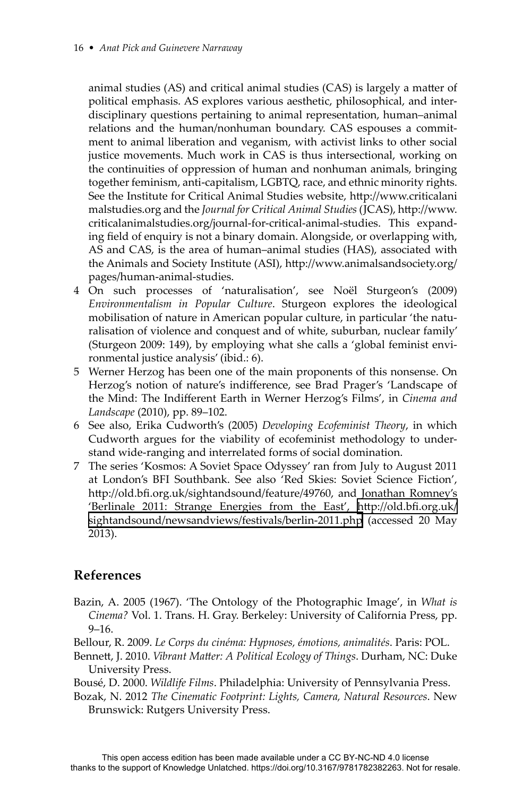animal studies (AS) and critical animal studies (CAS) is largely a matter of political emphasis. AS explores various aesthetic, philosophical, and interdisciplinary questions pertaining to animal representation, human–animal relations and the human/nonhuman boundary. CAS espouses a commitment to animal liberation and veganism, with activist links to other social justice movements. Much work in CAS is thus intersectional, working on the continuities of oppression of human and nonhuman animals, bringing together feminism, anti-capitalism, LGBTQ, race, and ethnic minority rights. See the Institute for Critical Animal Studies website, http://www.criticalani malstudies.org and the *Journal for Critical Animal Studies* (JCAS), http://www. criticalanimalstudies.org/journal-for-critical-animal-studies. This expanding field of enquiry is not a binary domain. Alongside, or overlapping with, AS and CAS, is the area of human–animal studies (HAS), associated with the Animals and Society Institute (ASI), http://www.animalsandsociety.org/ pages/human-animal-studies.

- 4 On such processes of 'naturalisation', see Noël Sturgeon's (2009) *Environmentalism in Popular Culture*. Sturgeon explores the ideological mobilisation of nature in American popular culture, in particular 'the naturalisation of violence and conquest and of white, suburban, nuclear family' (Sturgeon 2009: 149), by employing what she calls a 'global feminist environmental justice analysis' (ibid.: 6).
- 5 Werner Herzog has been one of the main proponents of this nonsense. On Herzog's notion of nature's indifference, see Brad Prager's 'Landscape of the Mind: The Indifferent Earth in Werner Herzog's Films', in *Cinema and Landscape* (2010), pp. 89–102.
- 6 See also, Erika Cudworth's (2005) *Developing Ecofeminist Theory*, in which Cudworth argues for the viability of ecofeminist methodology to understand wide-ranging and interrelated forms of social domination.
- 7 The series 'Kosmos: A Soviet Space Odyssey' ran from July to August 2011 at London's BFI Southbank. See also 'Red Skies: Soviet Science Fiction', http://old.bfi.org.uk/sightandsound/feature/49760, and Jonathan Romney's 'Berlinale 2011: Strange Energies from the East', [http://old.bfi.org.uk/](http://old.bfi.org.uk/sightandsound/newsandviews/festivals/berlin-2011.php) [sightandsound/newsandviews/festivals/berlin-2011.php](http://old.bfi.org.uk/sightandsound/newsandviews/festivals/berlin-2011.php) (accessed 20 May 2013).

## **References**

- Bazin, A. 2005 (1967). 'The Ontology of the Photographic Image', in *What is Cinema?* Vol. 1. Trans. H. Gray. Berkeley: University of California Press, pp. 9–16.
- Bellour, R. 2009. *Le Corps du cinéma: Hypnoses, émotions, animalités*. Paris: POL.
- Bennett, J. 2010. *Vibrant Matter: A Political Ecology of Things*. Durham, NC: Duke University Press.
- Bousé, D. 2000. *Wildlife Films*. Philadelphia: University of Pennsylvania Press.
- Bozak, N. 2012 *The Cinematic Footprint: Lights, Camera, Natural Resources*. New Brunswick: Rutgers University Press.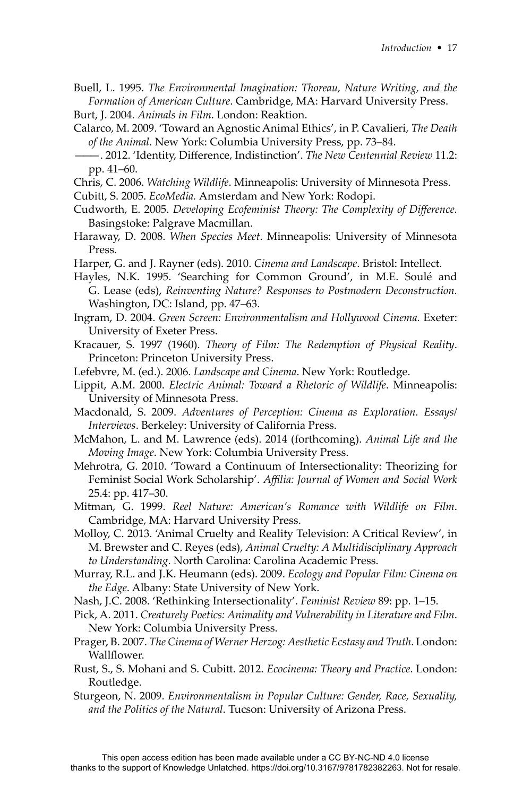Buell, L. 1995. *The Environmental Imagination: Thoreau, Nature Writing, and the Formation of American Culture*. Cambridge, MA: Harvard University Press. Burt, J. 2004. *Animals in Film*. London: Reaktion.

Calarco, M. 2009. 'Toward an Agnostic Animal Ethics', in P. Cavalieri, *The Death of the Animal*. New York: Columbia University Press, pp. 73–84.

- ———. 2012. 'Identity, Difference, Indistinction'. *The New Centennial Review* 11.2: pp. 41–60.
- Chris, C. 2006. *Watching Wildlife*. Minneapolis: University of Minnesota Press.
- Cubitt, S. 2005. *EcoMedia.* Amsterdam and New York: Rodopi.
- Cudworth, E. 2005. *Developing Ecofeminist Theory: The Complexity of Difference.* Basingstoke: Palgrave Macmillan.
- Haraway, D. 2008. *When Species Meet*. Minneapolis: University of Minnesota Press.
- Harper, G. and J. Rayner (eds). 2010. *Cinema and Landscape*. Bristol: Intellect.
- Hayles, N.K. 1995. 'Searching for Common Ground', in M.E. Soulé and G. Lease (eds), *Reinventing Nature? Responses to Postmodern Deconstruction.* Washington, DC: Island, pp. 47–63.
- Ingram, D. 2004. *Green Screen: Environmentalism and Hollywood Cinema.* Exeter: University of Exeter Press.
- Kracauer, S. 1997 (1960). *Theory of Film: The Redemption of Physical Reality*. Princeton: Princeton University Press.
- Lefebvre, M. (ed.). 2006. *Landscape and Cinema*. New York: Routledge.
- Lippit, A.M. 2000. *Electric Animal: Toward a Rhetoric of Wildlife*. Minneapolis: University of Minnesota Press.
- Macdonald, S. 2009. *Adventures of Perception: Cinema as Exploration. Essays/ Interviews*. Berkeley: University of California Press.
- McMahon, L. and M. Lawrence (eds). 2014 (forthcoming). *Animal Life and the Moving Image*. New York: Columbia University Press.
- Mehrotra, G. 2010. 'Toward a Continuum of Intersectionality: Theorizing for Feminist Social Work Scholarship'. *Affilia: Journal of Women and Social Work* 25.4: pp. 417–30.
- Mitman, G. 1999. *Reel Nature: American's Romance with Wildlife on Film*. Cambridge, MA: Harvard University Press.
- Molloy, C. 2013. 'Animal Cruelty and Reality Television: A Critical Review', in M. Brewster and C. Reyes (eds), *Animal Cruelty: A Multidisciplinary Approach to Understanding*. North Carolina: Carolina Academic Press.
- Murray, R.L. and J.K. Heumann (eds). 2009. *Ecology and Popular Film: Cinema on the Edge*. Albany: State University of New York.
- Nash, J.C. 2008. 'Rethinking Intersectionality'. *Feminist Review* 89: pp. 1–15.
- Pick, A. 2011. *Creaturely Poetics: Animality and Vulnerability in Literature and Film*. New York: Columbia University Press.
- Prager, B. 2007. *The Cinema of Werner Herzog: Aesthetic Ecstasy and Truth*. London: Wallflower.
- Rust, S., S. Mohani and S. Cubitt. 2012. *Ecocinema: Theory and Practice*. London: Routledge.
- Sturgeon, N. 2009. *Environmentalism in Popular Culture: Gender, Race, Sexuality, and the Politics of the Natural*. Tucson: University of Arizona Press.